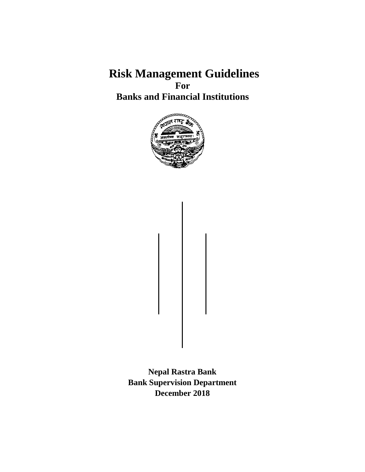**Risk Management Guidelines For Banks and Financial Institutions**



**Nepal Rastra Bank Bank Supervision Department December 2018**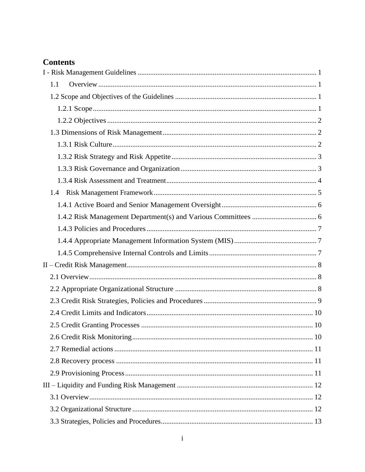# **Contents**

| 1.1 |  |
|-----|--|
|     |  |
|     |  |
|     |  |
|     |  |
|     |  |
|     |  |
|     |  |
|     |  |
|     |  |
|     |  |
|     |  |
|     |  |
|     |  |
|     |  |
|     |  |
|     |  |
|     |  |
|     |  |
|     |  |
|     |  |
|     |  |
|     |  |
|     |  |
|     |  |
|     |  |
|     |  |
|     |  |
|     |  |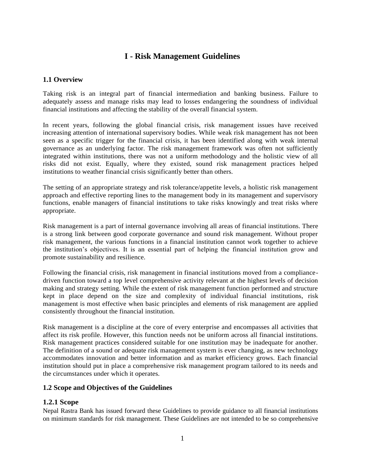# **I - Risk Management Guidelines**

#### <span id="page-3-1"></span><span id="page-3-0"></span>**1.1 Overview**

Taking risk is an integral part of financial intermediation and banking business. Failure to adequately assess and manage risks may lead to losses endangering the soundness of individual financial institutions and affecting the stability of the overall financial system.

In recent years, following the global financial crisis, risk management issues have received increasing attention of international supervisory bodies. While weak risk management has not been seen as a specific trigger for the financial crisis, it has been identified along with weak internal governance as an underlying factor. The risk management framework was often not sufficiently integrated within institutions, there was not a uniform methodology and the holistic view of all risks did not exist. Equally, where they existed, sound risk management practices helped institutions to weather financial crisis significantly better than others.

The setting of an appropriate strategy and risk tolerance/appetite levels, a holistic risk management approach and effective reporting lines to the management body in its management and supervisory functions, enable managers of financial institutions to take risks knowingly and treat risks where appropriate.

Risk management is a part of internal governance involving all areas of financial institutions. There is a strong link between good corporate governance and sound risk management. Without proper risk management, the various functions in a financial institution cannot work together to achieve the institution's objectives. It is an essential part of helping the financial institution grow and promote sustainability and resilience.

Following the financial crisis, risk management in financial institutions moved from a compliancedriven function toward a top level comprehensive activity relevant at the highest levels of decision making and strategy setting. While the extent of risk management function performed and structure kept in place depend on the size and complexity of individual financial institutions, risk management is most effective when basic principles and elements of risk management are applied consistently throughout the financial institution.

Risk management is a discipline at the core of every enterprise and encompasses all activities that affect its risk profile. However, this function needs not be uniform across all financial institutions. Risk management practices considered suitable for one institution may be inadequate for another. The definition of a sound or adequate risk management system is ever changing, as new technology accommodates innovation and better information and as market efficiency grows. Each financial institution should put in place a comprehensive risk management program tailored to its needs and the circumstances under which it operates.

#### <span id="page-3-2"></span>**1.2 Scope and Objectives of the Guidelines**

#### <span id="page-3-3"></span>**1.2.1 Scope**

Nepal Rastra Bank has issued forward these Guidelines to provide guidance to all financial institutions on minimum standards for risk management. These Guidelines are not intended to be so comprehensive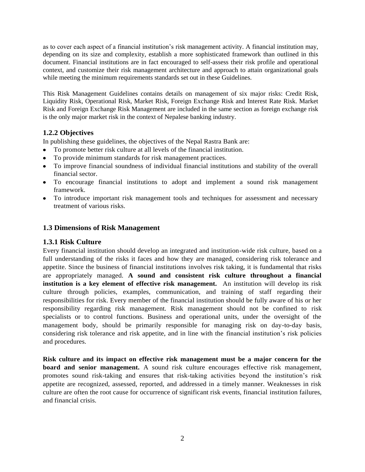as to cover each aspect of a financial institution's risk management activity. A financial institution may, depending on its size and complexity, establish a more sophisticated framework than outlined in this document. Financial institutions are in fact encouraged to self-assess their risk profile and operational context, and customize their risk management architecture and approach to attain organizational goals while meeting the minimum requirements standards set out in these Guidelines.

This Risk Management Guidelines contains details on management of six major risks: Credit Risk, Liquidity Risk, Operational Risk, Market Risk, Foreign Exchange Risk and Interest Rate Risk. Market Risk and Foreign Exchange Risk Management are included in the same section as foreign exchange risk is the only major market risk in the context of Nepalese banking industry.

## <span id="page-4-0"></span>**1.2.2 Objectives**

In publishing these guidelines, the objectives of the Nepal Rastra Bank are:

- To promote better risk culture at all levels of the financial institution.  $\bullet$
- To provide minimum standards for risk management practices.
- To improve financial soundness of individual financial institutions and stability of the overall financial sector.
- To encourage financial institutions to adopt and implement a sound risk management framework.
- To introduce important risk management tools and techniques for assessment and necessary treatment of various risks.

#### <span id="page-4-1"></span>**1.3 Dimensions of Risk Management**

#### <span id="page-4-2"></span>**1.3.1 Risk Culture**

Every financial institution should develop an integrated and institution-wide risk culture, based on a full understanding of the risks it faces and how they are managed, considering risk tolerance and appetite. Since the business of financial institutions involves risk taking, it is fundamental that risks are appropriately managed. **A sound and consistent risk culture throughout a financial institution is a key element of effective risk management.** An institution will develop its risk culture through policies, examples, communication, and training of staff regarding their responsibilities for risk. Every member of the financial institution should be fully aware of his or her responsibility regarding risk management. Risk management should not be confined to risk specialists or to control functions. Business and operational units, under the oversight of the management body, should be primarily responsible for managing risk on day-to-day basis, considering risk tolerance and risk appetite, and in line with the financial institution's risk policies and procedures.

**Risk culture and its impact on effective risk management must be a major concern for the board and senior management.** A sound risk culture encourages effective risk management, promotes sound risk-taking and ensures that risk-taking activities beyond the institution's risk appetite are recognized, assessed, reported, and addressed in a timely manner. Weaknesses in risk culture are often the root cause for occurrence of significant risk events, financial institution failures, and financial crisis.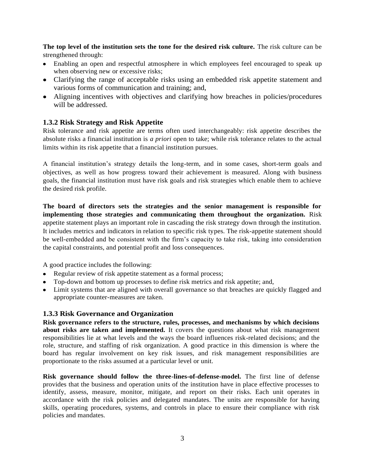**The top level of the institution sets the tone for the desired risk culture.** The risk culture can be strengthened through:

- Enabling an open and respectful atmosphere in which employees feel encouraged to speak up when observing new or excessive risks;
- Clarifying the range of acceptable risks using an embedded risk appetite statement and various forms of communication and training; and,
- Aligning incentives with objectives and clarifying how breaches in policies/procedures will be addressed.

## <span id="page-5-0"></span>**1.3.2 Risk Strategy and Risk Appetite**

Risk tolerance and risk appetite are terms often used interchangeably: risk appetite describes the absolute risks a financial institution is *a priori* open to take; while risk tolerance relates to the actual limits within its risk appetite that a financial institution pursues.

A financial institution's strategy details the long-term, and in some cases, short-term goals and objectives, as well as how progress toward their achievement is measured. Along with business goals, the financial institution must have risk goals and risk strategies which enable them to achieve the desired risk profile.

**The board of directors sets the strategies and the senior management is responsible for implementing those strategies and communicating them throughout the organization.** Risk appetite statement plays an important role in cascading the risk strategy down through the institution. It includes metrics and indicators in relation to specific risk types. The risk-appetite statement should be well-embedded and be consistent with the firm's capacity to take risk, taking into consideration the capital constraints, and potential profit and loss consequences.

A good practice includes the following:

- Regular review of risk appetite statement as a formal process;
- Top-down and bottom up processes to define risk metrics and risk appetite; and,
- Limit systems that are aligned with overall governance so that breaches are quickly flagged and appropriate counter-measures are taken.

#### <span id="page-5-1"></span>**1.3.3 Risk Governance and Organization**

**Risk governance refers to the structure, rules, processes, and mechanisms by which decisions about risks are taken and implemented.** It covers the questions about what risk management responsibilities lie at what levels and the ways the board influences risk-related decisions; and the role, structure, and staffing of risk organization. A good practice in this dimension is where the board has regular involvement on key risk issues, and risk management responsibilities are proportionate to the risks assumed at a particular level or unit.

**Risk governance should follow the three-lines-of-defense-model.** The first line of defense provides that the business and operation units of the institution have in place effective processes to identify, assess, measure, monitor, mitigate, and report on their risks. Each unit operates in accordance with the risk policies and delegated mandates. The units are responsible for having skills, operating procedures, systems, and controls in place to ensure their compliance with risk policies and mandates.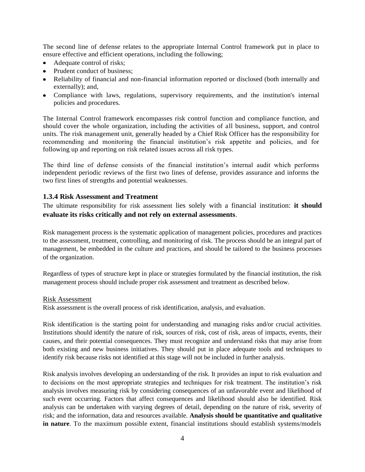The second line of defense relates to the appropriate Internal Control framework put in place to ensure effective and efficient operations, including the following;

- Adequate control of risks;
- Prudent conduct of business;
- Reliability of financial and non-financial information reported or disclosed (both internally and externally); and,
- Compliance with laws, regulations, supervisory requirements, and the institution's internal policies and procedures.

The Internal Control framework encompasses risk control function and compliance function, and should cover the whole organization, including the activities of all business, support, and control units. The risk management unit, generally headed by a Chief Risk Officer has the responsibility for recommending and monitoring the financial institution's risk appetite and policies, and for following up and reporting on risk related issues across all risk types.

The third line of defense consists of the financial institution's internal audit which performs independent periodic reviews of the first two lines of defense, provides assurance and informs the two first lines of strengths and potential weaknesses.

#### <span id="page-6-0"></span>**1.3.4 Risk Assessment and Treatment**

The ultimate responsibility for risk assessment lies solely with a financial institution: **it should evaluate its risks critically and not rely on external assessments**.

Risk management process is the systematic application of management policies, procedures and practices to the assessment, treatment, controlling, and monitoring of risk. The process should be an integral part of management, be embedded in the culture and practices, and should be tailored to the business processes of the organization.

Regardless of types of structure kept in place or strategies formulated by the financial institution, the risk management process should include proper risk assessment and treatment as described below.

#### Risk Assessment

Risk assessment is the overall process of risk identification, analysis, and evaluation.

Risk identification is the starting point for understanding and managing risks and/or crucial activities. Institutions should identify the nature of risk, sources of risk, cost of risk, areas of impacts, events, their causes, and their potential consequences. They must recognize and understand risks that may arise from both existing and new business initiatives. They should put in place adequate tools and techniques to identify risk because risks not identified at this stage will not be included in further analysis.

Risk analysis involves developing an understanding of the risk. It provides an input to risk evaluation and to decisions on the most appropriate strategies and techniques for risk treatment. The institution's risk analysis involves measuring risk by considering consequences of an unfavorable event and likelihood of such event occurring. Factors that affect consequences and likelihood should also be identified. Risk analysis can be undertaken with varying degrees of detail, depending on the nature of risk, severity of risk; and the information, data and resources available. **Analysis should be quantitative and qualitative in nature**. To the maximum possible extent, financial institutions should establish systems/models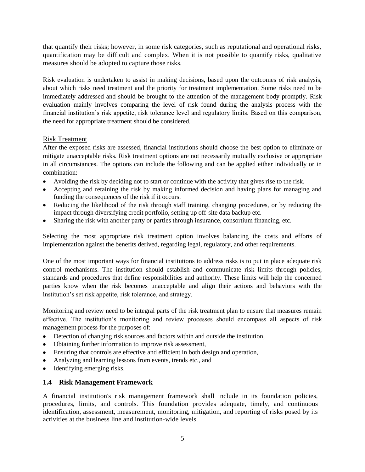that quantify their risks; however, in some risk categories, such as reputational and operational risks, quantification may be difficult and complex. When it is not possible to quantify risks, qualitative measures should be adopted to capture those risks.

Risk evaluation is undertaken to assist in making decisions, based upon the outcomes of risk analysis, about which risks need treatment and the priority for treatment implementation. Some risks need to be immediately addressed and should be brought to the attention of the management body promptly. Risk evaluation mainly involves comparing the level of risk found during the analysis process with the financial institution's risk appetite, risk tolerance level and regulatory limits. Based on this comparison, the need for appropriate treatment should be considered.

#### Risk Treatment

After the exposed risks are assessed, financial institutions should choose the best option to eliminate or mitigate unacceptable risks. Risk treatment options are not necessarily mutually exclusive or appropriate in all circumstances. The options can include the following and can be applied either individually or in combination:

- Avoiding the risk by deciding not to start or continue with the activity that gives rise to the risk.
- Accepting and retaining the risk by making informed decision and having plans for managing and funding the consequences of the risk if it occurs.
- Reducing the likelihood of the risk through staff training, changing procedures, or by reducing the impact through diversifying credit portfolio, setting up off-site data backup etc.
- Sharing the risk with another party or parties through insurance, consortium financing, etc.  $\bullet$

Selecting the most appropriate risk treatment option involves balancing the costs and efforts of implementation against the benefits derived, regarding legal, regulatory, and other requirements.

One of the most important ways for financial institutions to address risks is to put in place adequate risk control mechanisms. The institution should establish and communicate risk limits through policies, standards and procedures that define responsibilities and authority. These limits will help the concerned parties know when the risk becomes unacceptable and align their actions and behaviors with the institution's set risk appetite, risk tolerance, and strategy.

Monitoring and review need to be integral parts of the risk treatment plan to ensure that measures remain effective. The institution's monitoring and review processes should encompass all aspects of risk management process for the purposes of:

- Detection of changing risk sources and factors within and outside the institution,
- Obtaining further information to improve risk assessment,
- Ensuring that controls are effective and efficient in both design and operation,
- Analyzing and learning lessons from events, trends etc., and
- Identifying emerging risks.

## <span id="page-7-0"></span>**1.4 Risk Management Framework**

A financial institution's risk management framework shall include in its foundation policies, procedures, limits, and controls. This foundation provides adequate, timely, and continuous identification, assessment, measurement, monitoring, mitigation, and reporting of risks posed by its activities at the business line and institution-wide levels.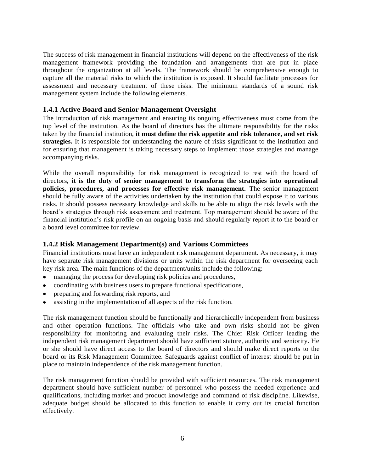The success of risk management in financial institutions will depend on the effectiveness of the risk management framework providing the foundation and arrangements that are put in place throughout the organization at all levels. The framework should be comprehensive enough to capture all the material risks to which the institution is exposed. It should facilitate processes for assessment and necessary treatment of these risks. The minimum standards of a sound risk management system include the following elements.

#### <span id="page-8-0"></span>**1.4.1 Active Board and Senior Management Oversight**

The introduction of risk management and ensuring its ongoing effectiveness must come from the top level of the institution. As the board of directors has the ultimate responsibility for the risks taken by the financial institution, **it must define the risk appetite and risk tolerance, and set risk strategies.** It is responsible for understanding the nature of risks significant to the institution and for ensuring that management is taking necessary steps to implement those strategies and manage accompanying risks.

While the overall responsibility for risk management is recognized to rest with the board of directors, **it is the duty of senior management to transform the strategies into operational policies, procedures, and processes for effective risk management.** The senior management should be fully aware of the activities undertaken by the institution that could expose it to various risks. It should possess necessary knowledge and skills to be able to align the risk levels with the board's strategies through risk assessment and treatment. Top management should be aware of the financial institution's risk profile on an ongoing basis and should regularly report it to the board or a board level committee for review.

#### <span id="page-8-1"></span>**1.4.2 Risk Management Department(s) and Various Committees**

Financial institutions must have an independent risk management department. As necessary, it may have separate risk management divisions or units within the risk department for overseeing each key risk area. The main functions of the department/units include the following:

- managing the process for developing risk policies and procedures,
- coordinating with business users to prepare functional specifications,
- preparing and forwarding risk reports, and  $\bullet$
- assisting in the implementation of all aspects of the risk function.

The risk management function should be functionally and hierarchically independent from business and other operation functions. The officials who take and own risks should not be given responsibility for monitoring and evaluating their risks. The Chief Risk Officer leading the independent risk management department should have sufficient stature, authority and seniority. He or she should have direct access to the board of directors and should make direct reports to the board or its Risk Management Committee. Safeguards against conflict of interest should be put in place to maintain independence of the risk management function.

The risk management function should be provided with sufficient resources. The risk management department should have sufficient number of personnel who possess the needed experience and qualifications, including market and product knowledge and command of risk discipline. Likewise, adequate budget should be allocated to this function to enable it carry out its crucial function effectively.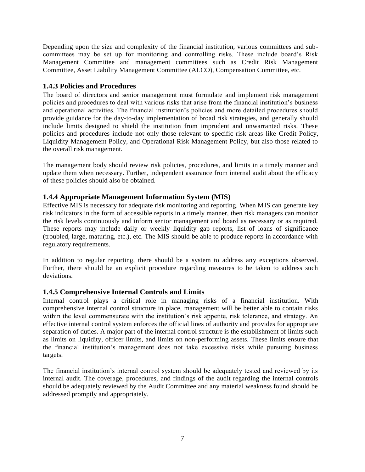Depending upon the size and complexity of the financial institution, various committees and subcommittees may be set up for monitoring and controlling risks. These include board's Risk Management Committee and management committees such as Credit Risk Management Committee, Asset Liability Management Committee (ALCO), Compensation Committee, etc.

#### <span id="page-9-0"></span>**1.4.3 Policies and Procedures**

The board of directors and senior management must formulate and implement risk management policies and procedures to deal with various risks that arise from the financial institution's business and operational activities. The financial institution's policies and more detailed procedures should provide guidance for the day-to-day implementation of broad risk strategies, and generally should include limits designed to shield the institution from imprudent and unwarranted risks. These policies and procedures include not only those relevant to specific risk areas like Credit Policy, Liquidity Management Policy, and Operational Risk Management Policy, but also those related to the overall risk management.

The management body should review risk policies, procedures, and limits in a timely manner and update them when necessary. Further, independent assurance from internal audit about the efficacy of these policies should also be obtained.

#### <span id="page-9-1"></span>**1.4.4 Appropriate Management Information System (MIS)**

Effective MIS is necessary for adequate risk monitoring and reporting. When MIS can generate key risk indicators in the form of accessible reports in a timely manner, then risk managers can monitor the risk levels continuously and inform senior management and board as necessary or as required. These reports may include daily or weekly liquidity gap reports, list of loans of significance (troubled, large, maturing, etc.), etc. The MIS should be able to produce reports in accordance with regulatory requirements.

In addition to regular reporting, there should be a system to address any exceptions observed. Further, there should be an explicit procedure regarding measures to be taken to address such deviations.

#### <span id="page-9-2"></span>**1.4.5 Comprehensive Internal Controls and Limits**

Internal control plays a critical role in managing risks of a financial institution. With comprehensive internal control structure in place, management will be better able to contain risks within the level commensurate with the institution's risk appetite, risk tolerance, and strategy. An effective internal control system enforces the official lines of authority and provides for appropriate separation of duties. A major part of the internal control structure is the establishment of limits such as limits on liquidity, officer limits, and limits on non-performing assets. These limits ensure that the financial institution's management does not take excessive risks while pursuing business targets.

The financial institution's internal control system should be adequately tested and reviewed by its internal audit. The coverage, procedures, and findings of the audit regarding the internal controls should be adequately reviewed by the Audit Committee and any material weakness found should be addressed promptly and appropriately.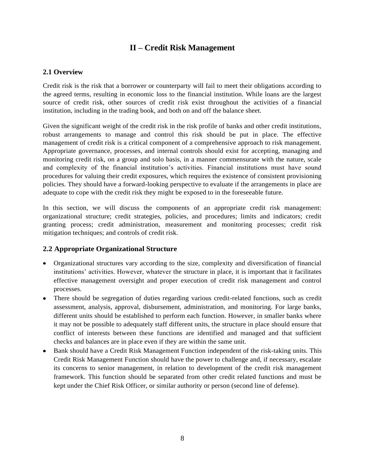# **II – Credit Risk Management**

#### <span id="page-10-1"></span><span id="page-10-0"></span>**2.1 Overview**

Credit risk is the risk that a borrower or counterparty will fail to meet their obligations according to the agreed terms, resulting in economic loss to the financial institution. While loans are the largest source of credit risk, other sources of credit risk exist throughout the activities of a financial institution, including in the trading book, and both on and off the balance sheet.

Given the significant weight of the credit risk in the risk profile of banks and other credit institutions, robust arrangements to manage and control this risk should be put in place. The effective management of credit risk is a critical component of a comprehensive approach to risk management. Appropriate governance, processes, and internal controls should exist for accepting, managing and monitoring credit risk, on a group and solo basis, in a manner commensurate with the nature, scale and complexity of the financial institution's activities. Financial institutions must have sound procedures for valuing their credit exposures, which requires the existence of consistent provisioning policies. They should have a forward-looking perspective to evaluate if the arrangements in place are adequate to cope with the credit risk they might be exposed to in the foreseeable future.

In this section, we will discuss the components of an appropriate credit risk management: organizational structure; credit strategies, policies, and procedures; limits and indicators; credit granting process; credit administration, measurement and monitoring processes; credit risk mitigation techniques; and controls of credit risk.

## <span id="page-10-2"></span>**2.2 Appropriate Organizational Structure**

- Organizational structures vary according to the size, complexity and diversification of financial institutions' activities. However, whatever the structure in place, it is important that it facilitates effective management oversight and proper execution of credit risk management and control processes.
- There should be segregation of duties regarding various credit-related functions, such as credit assessment, analysis, approval, disbursement, administration, and monitoring. For large banks, different units should be established to perform each function. However, in smaller banks where it may not be possible to adequately staff different units, the structure in place should ensure that conflict of interests between these functions are identified and managed and that sufficient checks and balances are in place even if they are within the same unit.
- Bank should have a Credit Risk Management Function independent of the risk-taking units. This Credit Risk Management Function should have the power to challenge and, if necessary, escalate its concerns to senior management, in relation to development of the credit risk management framework. This function should be separated from other credit related functions and must be kept under the Chief Risk Officer, or similar authority or person (second line of defense).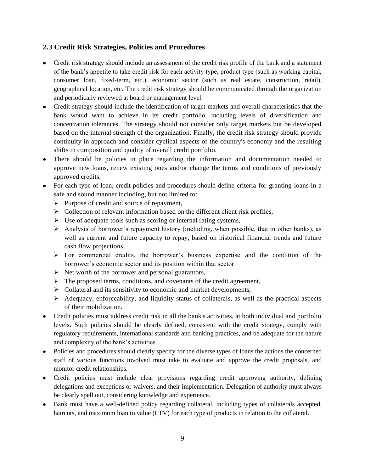#### <span id="page-11-0"></span>**2.3 Credit Risk Strategies, Policies and Procedures**

- Credit risk strategy should include an assessment of the credit risk profile of the bank and a statement of the bank's appetite to take credit risk for each activity type, product type (such as working capital, consumer loan, fixed-term, etc.), economic sector (such as real estate, construction, retail), geographical location, etc. The credit risk strategy should be communicated through the organization and periodically reviewed at board or management level.
- Credit strategy should include the identification of target markets and overall characteristics that the bank would want to achieve in its credit portfolio, including levels of diversification and concentration tolerances. The strategy should not consider only target markets but be developed based on the internal strength of the organization. Finally, the credit risk strategy should provide continuity in approach and consider cyclical aspects of the country's economy and the resulting shifts in composition and quality of overall credit portfolio.
- There should be policies in place regarding the information and documentation needed to approve new loans, renew existing ones and/or change the terms and conditions of previously approved credits.
- For each type of loan, credit policies and procedures should define criteria for granting loans in a safe and sound manner including, but not limited to:
	- $\triangleright$  Purpose of credit and source of repayment,
	- $\triangleright$  Collection of relevant information based on the different client risk profiles,
	- $\triangleright$  Use of adequate tools such as scoring or internal rating systems,
	- Analysis of borrower's repayment history (including, when possible, that in other banks), as well as current and future capacity to repay, based on historical financial trends and future cash flow projections,
	- $\triangleright$  For commercial credits, the borrower's business expertise and the condition of the borrower's economic sector and its position within that sector
	- $\triangleright$  Net worth of the borrower and personal guarantors,
	- $\triangleright$  The proposed terms, conditions, and covenants of the credit agreement,
	- $\triangleright$  Collateral and its sensitivity to economic and market developments,
	- $\triangleright$  Adequacy, enforceability, and liquidity status of collaterals, as well as the practical aspects of their mobilization.
- Credit policies must address credit risk in all the bank's activities, at both individual and portfolio levels. Such policies should be clearly defined, consistent with the credit strategy, comply with regulatory requirements, international standards and banking practices, and be adequate for the nature and complexity of the bank's activities.
- Policies and procedures should clearly specify for the diverse types of loans the actions the concerned staff of various functions involved must take to evaluate and approve the credit proposals, and monitor credit relationships.
- Credit policies must include clear provisions regarding credit approving authority, defining delegations and exceptions or waivers, and their implementation. Delegation of authority must always be clearly spell out, considering knowledge and experience.
- Bank must have a well-defined policy regarding collateral, including types of collaterals accepted, haircuts, and maximum loan to value (LTV) for each type of products in relation to the collateral.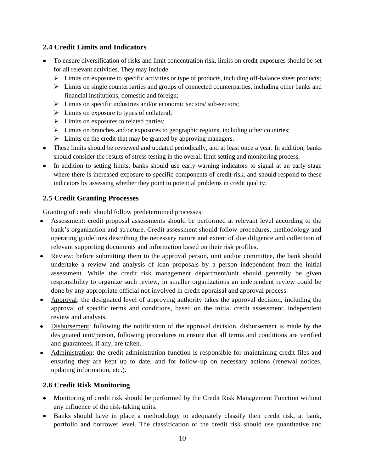## <span id="page-12-0"></span>**2.4 Credit Limits and Indicators**

- To ensure diversification of risks and limit concentration risk, limits on credit exposures should be set for all relevant activities. They may include:
	- $\triangleright$  Limits on exposure to specific activities or type of products, including off-balance sheet products;
	- $\triangleright$  Limits on single counterparties and groups of connected counterparties, including other banks and financial institutions, domestic and foreign;
	- $\triangleright$  Limits on specific industries and/or economic sectors/ sub-sectors;
	- $\triangleright$  Limits on exposure to types of collateral;
	- $\triangleright$  Limits on exposures to related parties;
	- $\triangleright$  Limits on branches and/or exposures to geographic regions, including other countries;
	- $\triangleright$  Limits on the credit that may be granted by approving managers.
- These limits should be reviewed and updated periodically, and at least once a year. In addition, banks should consider the results of stress testing in the overall limit setting and monitoring process.
- In addition to setting limits, banks should use early warning indicators to signal at an early stage where there is increased exposure to specific components of credit risk, and should respond to these indicators by assessing whether they point to potential problems in credit quality.

# <span id="page-12-1"></span>**2.5 Credit Granting Processes**

Granting of credit should follow predetermined processes:

- Assessment: credit proposal assessments should be performed at relevant level according to the bank's organization and structure. Credit assessment should follow procedures, methodology and operating guidelines describing the necessary nature and extent of due diligence and collection of relevant supporting documents and information based on their risk profiles.
- Review: before submitting them to the approval person, unit and/or committee, the bank should undertake a review and analysis of loan proposals by a person independent from the initial assessment. While the credit risk management department/unit should generally be given responsibility to organize such review, in smaller organizations an independent review could be done by any appropriate official not involved in credit appraisal and approval process.
- Approval: the designated level of approving authority takes the approval decision, including the approval of specific terms and conditions, based on the initial credit assessment, independent review and analysis.
- Disbursement: following the notification of the approval decision, disbursement is made by the designated unit/person, following procedures to ensure that all terms and conditions are verified and guarantees, if any, are taken.
- Administration: the credit administration function is responsible for maintaining credit files and ensuring they are kept up to date, and for follow-up on necessary actions (renewal notices, updating information, etc.).

## <span id="page-12-2"></span>**2.6 Credit Risk Monitoring**

- Monitoring of credit risk should be performed by the Credit Risk Management Function without any influence of the risk-taking units.
- Banks should have in place a methodology to adequately classify their credit risk, at bank, portfolio and borrower level. The classification of the credit risk should use quantitative and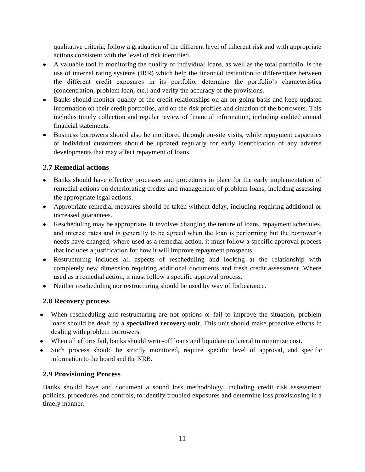qualitative criteria, follow a graduation of the different level of inherent risk and with appropriate actions consistent with the level of risk identified.

- A valuable tool in monitoring the quality of individual loans, as well as the total portfolio, is the use of internal rating systems (IRR) which help the financial institution to differentiate between the different credit exposures in its portfolio, determine the portfolio's characteristics (concentration, problem loan, etc.) and verify the accuracy of the provisions.
- Banks should monitor quality of the credit relationships on an on-going basis and keep updated information on their credit portfolios, and on the risk profiles and situation of the borrowers. This includes timely collection and regular review of financial information, including audited annual financial statements.
- Business borrowers should also be monitored through on-site visits, while repayment capacities of individual customers should be updated regularly for early identification of any adverse developments that may affect repayment of loans.

# <span id="page-13-0"></span>**2.7 Remedial actions**

- Banks should have effective processes and procedures in place for the early implementation of remedial actions on deteriorating credits and management of problem loans, including assessing the appropriate legal actions.
- Appropriate remedial measures should be taken without delay, including requiring additional or increased guarantees.
- Rescheduling may be appropriate. It involves changing the tenure of loans, repayment schedules, and interest rates and is generally to be agreed when the loan is performing but the borrower's needs have changed; where used as a remedial action, it must follow a specific approval process that includes a justification for how it will improve repayment prospects.
- Restructuring includes all aspects of rescheduling and looking at the relationship with completely new dimension requiring additional documents and fresh credit assessment. Where used as a remedial action, it must follow a specific approval process.
- Neither rescheduling nor restructuring should be used by way of forbearance.

# <span id="page-13-1"></span>**2.8 Recovery process**

- When rescheduling and restructuring are not options or fail to improve the situation, problem loans should be dealt by a **specialized recovery unit**. This unit should make proactive efforts in dealing with problem borrowers.
- When all efforts fail, banks should write-off loans and liquidate collateral to minimize cost.
- Such process should be strictly monitored, require specific level of approval, and specific information to the board and the NRB.

# <span id="page-13-2"></span>**2.9 Provisioning Process**

Banks should have and document a sound loss methodology, including credit risk assessment policies, procedures and controls, to identify troubled exposures and determine loss provisioning in a timely manner.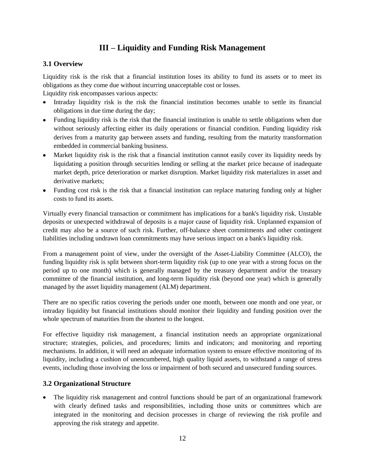# **III – Liquidity and Funding Risk Management**

## <span id="page-14-1"></span><span id="page-14-0"></span>**3.1 Overview**

Liquidity risk is the risk that a financial institution loses its ability to fund its assets or to meet its obligations as they come due without incurring unacceptable cost or losses.

Liquidity risk encompasses various aspects:

- Intraday liquidity risk is the risk the financial institution becomes unable to settle its financial obligations in due time during the day;
- Funding liquidity risk is the risk that the financial institution is unable to settle obligations when due without seriously affecting either its daily operations or financial condition. Funding liquidity risk derives from a maturity gap between assets and funding, resulting from the maturity transformation embedded in commercial banking business.
- Market liquidity risk is the risk that a financial institution cannot easily cover its liquidity needs by liquidating a position through securities lending or selling at the market price because of inadequate market depth, price deterioration or market disruption. Market liquidity risk materializes in asset and derivative markets;
- Funding cost risk is the risk that a financial institution can replace maturing funding only at higher costs to fund its assets.

Virtually every financial transaction or commitment has implications for a bank's liquidity risk. Unstable deposits or unexpected withdrawal of deposits is a major cause of liquidity risk. Unplanned expansion of credit may also be a source of such risk. Further, off-balance sheet commitments and other contingent liabilities including undrawn loan commitments may have serious impact on a bank's liquidity risk.

From a management point of view, under the oversight of the Asset-Liability Committee (ALCO), the funding liquidity risk is split between short-term liquidity risk (up to one year with a strong focus on the period up to one month) which is generally managed by the treasury department and/or the treasury committee of the financial institution, and long-term liquidity risk (beyond one year) which is generally managed by the asset liquidity management (ALM) department.

There are no specific ratios covering the periods under one month, between one month and one year, or intraday liquidity but financial institutions should monitor their liquidity and funding position over the whole spectrum of maturities from the shortest to the longest.

For effective liquidity risk management, a financial institution needs an appropriate organizational structure; strategies, policies, and procedures; limits and indicators; and monitoring and reporting mechanisms. In addition, it will need an adequate information system to ensure effective monitoring of its liquidity, including a cushion of unencumbered, high quality liquid assets, to withstand a range of stress events, including those involving the loss or impairment of both secured and unsecured funding sources.

## <span id="page-14-2"></span>**3.2 Organizational Structure**

The liquidity risk management and control functions should be part of an organizational framework with clearly defined tasks and responsibilities, including those units or committees which are integrated in the monitoring and decision processes in charge of reviewing the risk profile and approving the risk strategy and appetite.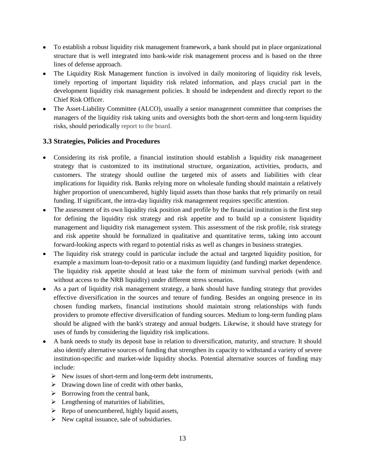- To establish a robust liquidity risk management framework, a bank should put in place organizational structure that is well integrated into bank-wide risk management process and is based on the three lines of defense approach.
- The Liquidity Risk Management function is involved in daily monitoring of liquidity risk levels, timely reporting of important liquidity risk related information, and plays crucial part in the development liquidity risk management policies. It should be independent and directly report to the Chief Risk Officer.
- The Asset-Liability Committee (ALCO), usually a senior management committee that comprises the  $\bullet$ managers of the liquidity risk taking units and oversights both the short-term and long-term liquidity risks, should periodically report to the board.

#### <span id="page-15-0"></span>**3.3 Strategies, Policies and Procedures**

- Considering its risk profile, a financial institution should establish a liquidity risk management strategy that is customized to its institutional structure, organization, activities, products, and customers. The strategy should outline the targeted mix of assets and liabilities with clear implications for liquidity risk. Banks relying more on wholesale funding should maintain a relatively higher proportion of unencumbered, highly liquid assets than those banks that rely primarily on retail funding. If significant, the intra-day liquidity risk management requires specific attention.
- The assessment of its own liquidity risk position and profile by the financial institution is the first step for defining the liquidity risk strategy and risk appetite and to build up a consistent liquidity management and liquidity risk management system. This assessment of the risk profile, risk strategy and risk appetite should be formalized in qualitative and quantitative terms, taking into account forward-looking aspects with regard to potential risks as well as changes in business strategies.
- The liquidity risk strategy could in particular include the actual and targeted liquidity position, for example a maximum loan-to-deposit ratio or a maximum liquidity (and funding) market dependence. The liquidity risk appetite should at least take the form of minimum survival periods (with and without access to the NRB liquidity) under different stress scenarios.
- As a part of liquidity risk management strategy, a bank should have funding strategy that provides effective diversification in the sources and tenure of funding. Besides an ongoing presence in its chosen funding markets, financial institutions should maintain strong relationships with funds providers to promote effective diversification of funding sources. Medium to long-term funding plans should be aligned with the bank's strategy and annual budgets. Likewise, it should have strategy for uses of funds by considering the liquidity risk implications.
- A bank needs to study its deposit base in relation to diversification, maturity, and structure. It should also identify alternative sources of funding that strengthen its capacity to withstand a variety of severe institution-specific and market-wide liquidity shocks. Potential alternative sources of funding may include:
	- $\triangleright$  New issues of short-term and long-term debt instruments,
	- $\triangleright$  Drawing down line of credit with other banks,
	- $\triangleright$  Borrowing from the central bank,
	- $\triangleright$  Lengthening of maturities of liabilities,
	- $\triangleright$  Repo of unencumbered, highly liquid assets,
	- $\triangleright$  New capital issuance, sale of subsidiaries.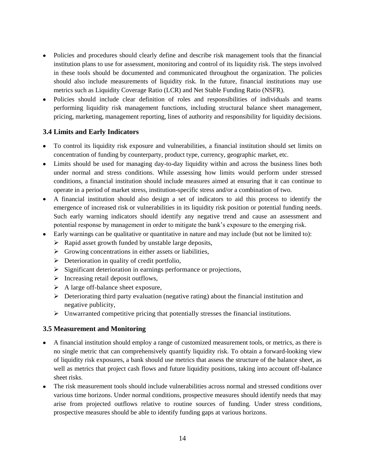- Policies and procedures should clearly define and describe risk management tools that the financial institution plans to use for assessment, monitoring and control of its liquidity risk. The steps involved in these tools should be documented and communicated throughout the organization. The policies should also include measurements of liquidity risk. In the future, financial institutions may use metrics such as Liquidity Coverage Ratio (LCR) and Net Stable Funding Ratio (NSFR).
- Policies should include clear definition of roles and responsibilities of individuals and teams performing liquidity risk management functions, including structural balance sheet management, pricing, marketing, management reporting, lines of authority and responsibility for liquidity decisions.

#### <span id="page-16-0"></span>**3.4 Limits and Early Indicators**

- To control its liquidity risk exposure and vulnerabilities, a financial institution should set limits on concentration of funding by counterparty, product type, currency, geographic market, etc.
- Limits should be used for managing day-to-day liquidity within and across the business lines both under normal and stress conditions. While assessing how limits would perform under stressed conditions, a financial institution should include measures aimed at ensuring that it can continue to operate in a period of market stress, institution-specific stress and/or a combination of two.
- A financial institution should also design a set of indicators to aid this process to identify the emergence of increased risk or vulnerabilities in its liquidity risk position or potential funding needs. Such early warning indicators should identify any negative trend and cause an assessment and potential response by management in order to mitigate the bank's exposure to the emerging risk.
- Early warnings can be qualitative or quantitative in nature and may include (but not be limited to):
	- $\triangleright$  Rapid asset growth funded by unstable large deposits,
	- $\triangleright$  Growing concentrations in either assets or liabilities,
	- $\triangleright$  Deterioration in quality of credit portfolio,
	- $\triangleright$  Significant deterioration in earnings performance or projections,
	- $\triangleright$  Increasing retail deposit outflows,
	- $\triangleright$  A large off-balance sheet exposure,
	- $\triangleright$  Deteriorating third party evaluation (negative rating) about the financial institution and negative publicity,
	- $\triangleright$  Unwarranted competitive pricing that potentially stresses the financial institutions.

#### <span id="page-16-1"></span>**3.5 Measurement and Monitoring**

- A financial institution should employ a range of customized measurement tools, or metrics, as there is no single metric that can comprehensively quantify liquidity risk. To obtain a forward-looking view of liquidity risk exposures, a bank should use metrics that assess the structure of the balance sheet, as well as metrics that project cash flows and future liquidity positions, taking into account off-balance sheet risks.
- The risk measurement tools should include vulnerabilities across normal and stressed conditions over various time horizons. Under normal conditions, prospective measures should identify needs that may arise from projected outflows relative to routine sources of funding. Under stress conditions, prospective measures should be able to identify funding gaps at various horizons.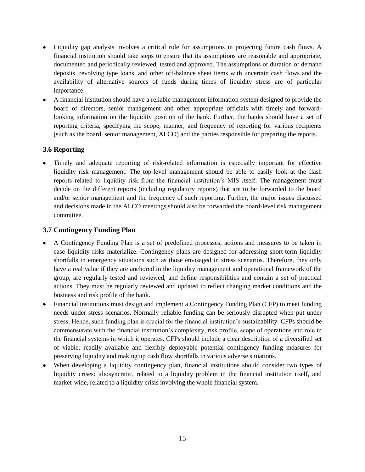- Liquidity gap analysis involves a critical role for assumptions in projecting future cash flows. A financial institution should take steps to ensure that its assumptions are reasonable and appropriate, documented and periodically reviewed, tested and approved. The assumptions of duration of demand deposits, revolving type loans, and other off-balance sheet items with uncertain cash flows and the availability of alternative sources of funds during times of liquidity stress are of particular importance.
- A financial institution should have a reliable management information system designed to provide the board of directors, senior management and other appropriate officials with timely and forwardlooking information on the liquidity position of the bank. Further, the banks should have a set of reporting criteria, specifying the scope, manner, and frequency of reporting for various recipients (such as the board, senior management, ALCO) and the parties responsible for preparing the reports.

# <span id="page-17-0"></span>**3.6 Reporting**

Timely and adequate reporting of risk-related information is especially important for effective liquidity risk management. The top-level management should be able to easily look at the flash reports related to liquidity risk from the financial institution's MIS itself. The management must decide on the different reports (including regulatory reports) that are to be forwarded to the board and/or senior management and the frequency of such reporting. Further, the major issues discussed and decisions made in the ALCO meetings should also be forwarded the board-level risk management committee.

#### <span id="page-17-1"></span>**3.7 Contingency Funding Plan**

- A Contingency Funding Plan is a set of predefined processes, actions and measures to be taken in case liquidity risks materialize. Contingency plans are designed for addressing short-term liquidity shortfalls in emergency situations such as those envisaged in stress scenarios. Therefore, they only have a real value if they are anchored in the liquidity management and operational framework of the group, are regularly tested and reviewed, and define responsibilities and contain a set of practical actions. They must be regularly reviewed and updated to reflect changing market conditions and the business and risk profile of the bank.
- Financial institutions must design and implement a Contingency Funding Plan (CFP) to meet funding needs under stress scenarios. Normally reliable funding can be seriously disrupted when put under stress. Hence, such funding plan is crucial for the financial institution's sustainability. CFPs should be commensurate with the financial institution's complexity, risk profile, scope of operations and role in the financial systems in which it operates. CFPs should include a clear description of a diversified set of viable, readily available and flexibly deployable potential contingency funding measures for preserving liquidity and making up cash flow shortfalls in various adverse situations.
- When developing a liquidity contingency plan, financial institutions should consider two types of liquidity crises: idiosyncratic, related to a liquidity problem in the financial institution itself, and market-wide, related to a liquidity crisis involving the whole financial system.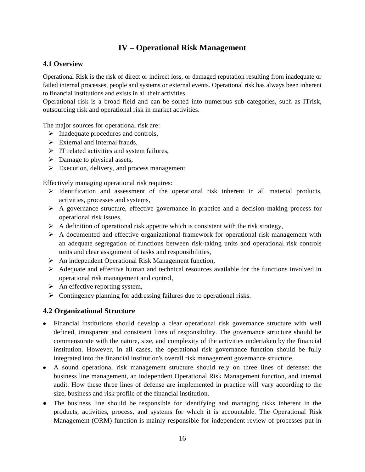# **IV – Operational Risk Management**

#### <span id="page-18-1"></span><span id="page-18-0"></span>**4.1 Overview**

Operational Risk is the risk of direct or indirect loss, or damaged reputation resulting from inadequate or failed internal processes, people and systems or external events. Operational risk has always been inherent to financial institutions and exists in all their activities.

Operational risk is a broad field and can be sorted into numerous sub-categories, such as ITrisk, outsourcing risk and operational risk in market activities.

The major sources for operational risk are:

- $\triangleright$  Inadequate procedures and controls,
- $\triangleright$  External and Internal frauds.
- $\triangleright$  IT related activities and system failures,
- $\triangleright$  Damage to physical assets,
- $\triangleright$  Execution, delivery, and process management

Effectively managing operational risk requires:

- $\triangleright$  Identification and assessment of the operational risk inherent in all material products, activities, processes and systems,
- A governance structure, effective governance in practice and a decision-making process for operational risk issues,
- $\triangleright$  A definition of operational risk appetite which is consistent with the risk strategy,
- $\triangleright$  A documented and effective organizational framework for operational risk management with an adequate segregation of functions between risk-taking units and operational risk controls units and clear assignment of tasks and responsibilities,
- An independent Operational Risk Management function,
- $\triangleright$  Adequate and effective human and technical resources available for the functions involved in operational risk management and control,
- $\triangleright$  An effective reporting system,
- $\triangleright$  Contingency planning for addressing failures due to operational risks.

## <span id="page-18-2"></span>**4.2 Organizational Structure**

- Financial institutions should develop a clear operational risk governance structure with well defined, transparent and consistent lines of responsibility. The governance structure should be commensurate with the nature, size, and complexity of the activities undertaken by the financial institution. However, in all cases, the operational risk governance function should be fully integrated into the financial institution's overall risk management governance structure.
- A sound operational risk management structure should rely on three lines of defense: the business line management, an independent Operational Risk Management function, and internal audit. How these three lines of defense are implemented in practice will vary according to the size, business and risk profile of the financial institution.
- The business line should be responsible for identifying and managing risks inherent in the products, activities, process, and systems for which it is accountable. The Operational Risk Management (ORM) function is mainly responsible for independent review of processes put in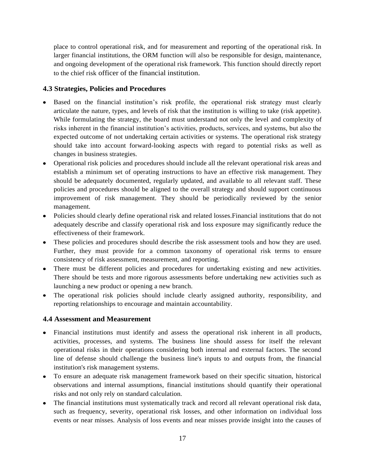place to control operational risk, and for measurement and reporting of the operational risk. In larger financial institutions, the ORM function will also be responsible for design, maintenance, and ongoing development of the operational risk framework. This function should directly report to the chief risk officer of the financial institution.

## <span id="page-19-0"></span>**4.3 Strategies, Policies and Procedures**

- Based on the financial institution's risk profile, the operational risk strategy must clearly articulate the nature, types, and levels of risk that the institution is willing to take (risk appetite). While formulating the strategy, the board must understand not only the level and complexity of risks inherent in the financial institution's activities, products, services, and systems, but also the expected outcome of not undertaking certain activities or systems. The operational risk strategy should take into account forward-looking aspects with regard to potential risks as well as changes in business strategies.
- Operational risk policies and procedures should include all the relevant operational risk areas and establish a minimum set of operating instructions to have an effective risk management. They should be adequately documented, regularly updated, and available to all relevant staff. These policies and procedures should be aligned to the overall strategy and should support continuous improvement of risk management. They should be periodically reviewed by the senior management.
- Policies should clearly define operational risk and related losses.Financial institutions that do not adequately describe and classify operational risk and loss exposure may significantly reduce the effectiveness of their framework.
- These policies and procedures should describe the risk assessment tools and how they are used. Further, they must provide for a common taxonomy of operational risk terms to ensure consistency of risk assessment, measurement, and reporting.
- There must be different policies and procedures for undertaking existing and new activities. There should be tests and more rigorous assessments before undertaking new activities such as launching a new product or opening a new branch.
- The operational risk policies should include clearly assigned authority, responsibility, and reporting relationships to encourage and maintain accountability.

## <span id="page-19-1"></span>**4.4 Assessment and Measurement**

- Financial institutions must identify and assess the operational risk inherent in all products, activities, processes, and systems. The business line should assess for itself the relevant operational risks in their operations considering both internal and external factors. The second line of defense should challenge the business line's inputs to and outputs from, the financial institution's risk management systems.
- To ensure an adequate risk management framework based on their specific situation, historical observations and internal assumptions, financial institutions should quantify their operational risks and not only rely on standard calculation.
- The financial institutions must systematically track and record all relevant operational risk data, such as frequency, severity, operational risk losses, and other information on individual loss events or near misses. Analysis of loss events and near misses provide insight into the causes of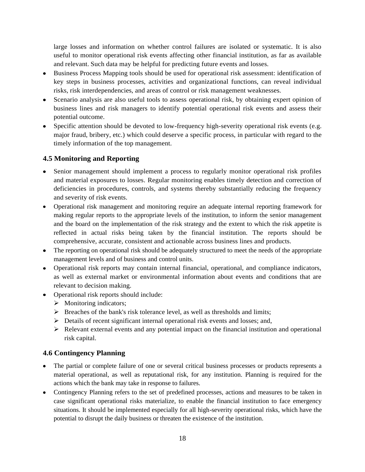large losses and information on whether control failures are isolated or systematic. It is also useful to monitor operational risk events affecting other financial institution, as far as available and relevant. Such data may be helpful for predicting future events and losses.

- Business Process Mapping tools should be used for operational risk assessment: identification of key steps in business processes, activities and organizational functions, can reveal individual risks, risk interdependencies, and areas of control or risk management weaknesses.
- Scenario analysis are also useful tools to assess operational risk, by obtaining expert opinion of business lines and risk managers to identify potential operational risk events and assess their potential outcome.
- Specific attention should be devoted to low-frequency high-severity operational risk events (e.g. major fraud, bribery, etc.) which could deserve a specific process, in particular with regard to the timely information of the top management.

# <span id="page-20-0"></span>**4.5 Monitoring and Reporting**

- Senior management should implement a process to regularly monitor operational risk profiles and material exposures to losses. Regular monitoring enables timely detection and correction of deficiencies in procedures, controls, and systems thereby substantially reducing the frequency and severity of risk events.
- Operational risk management and monitoring require an adequate internal reporting framework for making regular reports to the appropriate levels of the institution, to inform the senior management and the board on the implementation of the risk strategy and the extent to which the risk appetite is reflected in actual risks being taken by the financial institution. The reports should be comprehensive, accurate, consistent and actionable across business lines and products.
- The reporting on operational risk should be adequately structured to meet the needs of the appropriate management levels and of business and control units.
- Operational risk reports may contain internal financial, operational, and compliance indicators, as well as external market or environmental information about events and conditions that are relevant to decision making.
- Operational risk reports should include:
	- $\triangleright$  Monitoring indicators;
	- $\triangleright$  Breaches of the bank's risk tolerance level, as well as thresholds and limits;
	- $\triangleright$  Details of recent significant internal operational risk events and losses; and,
	- $\triangleright$  Relevant external events and any potential impact on the financial institution and operational risk capital.

## <span id="page-20-1"></span>**4.6 Contingency Planning**

- The partial or complete failure of one or several critical business processes or products represents a material operational, as well as reputational risk, for any institution. Planning is required for the actions which the bank may take in response to failures.
- Contingency Planning refers to the set of predefined processes, actions and measures to be taken in case significant operational risks materialize, to enable the financial institution to face emergency situations. It should be implemented especially for all high-severity operational risks, which have the potential to disrupt the daily business or threaten the existence of the institution.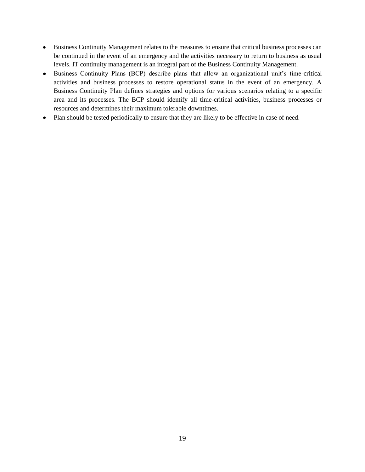- Business Continuity Management relates to the measures to ensure that critical business processes can be continued in the event of an emergency and the activities necessary to return to business as usual levels. IT continuity management is an integral part of the Business Continuity Management.
- Business Continuity Plans (BCP) describe plans that allow an organizational unit's time-critical activities and business processes to restore operational status in the event of an emergency. A Business Continuity Plan defines strategies and options for various scenarios relating to a specific area and its processes. The BCP should identify all time-critical activities, business processes or resources and determines their maximum tolerable downtimes.
- Plan should be tested periodically to ensure that they are likely to be effective in case of need. $\bullet$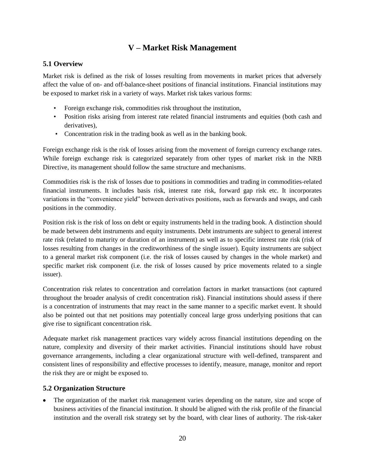# **V – Market Risk Management**

## <span id="page-22-1"></span><span id="page-22-0"></span>**5.1 Overview**

Market risk is defined as the risk of losses resulting from movements in market prices that adversely affect the value of on- and off-balance-sheet positions of financial institutions. Financial institutions may be exposed to market risk in a variety of ways. Market risk takes various forms:

- Foreign exchange risk, commodities risk throughout the institution,
- Position risks arising from interest rate related financial instruments and equities (both cash and derivatives),
- Concentration risk in the trading book as well as in the banking book.

Foreign exchange risk is the risk of losses arising from the movement of foreign currency exchange rates. While foreign exchange risk is categorized separately from other types of market risk in the NRB Directive, its management should follow the same structure and mechanisms.

Commodities risk is the risk of losses due to positions in commodities and trading in commodities-related financial instruments. It includes basis risk, interest rate risk, forward gap risk etc. It incorporates variations in the "convenience yield" between derivatives positions, such as forwards and swaps, and cash positions in the commodity.

Position risk is the risk of loss on debt or equity instruments held in the trading book. A distinction should be made between debt instruments and equity instruments. Debt instruments are subject to general interest rate risk (related to maturity or duration of an instrument) as well as to specific interest rate risk (risk of losses resulting from changes in the creditworthiness of the single issuer). Equity instruments are subject to a general market risk component (i.e. the risk of losses caused by changes in the whole market) and specific market risk component (i.e. the risk of losses caused by price movements related to a single issuer).

Concentration risk relates to concentration and correlation factors in market transactions (not captured throughout the broader analysis of credit concentration risk). Financial institutions should assess if there is a concentration of instruments that may react in the same manner to a specific market event. It should also be pointed out that net positions may potentially conceal large gross underlying positions that can give rise to significant concentration risk.

Adequate market risk management practices vary widely across financial institutions depending on the nature, complexity and diversity of their market activities. Financial institutions should have robust governance arrangements, including a clear organizational structure with well-defined, transparent and consistent lines of responsibility and effective processes to identify, measure, manage, monitor and report the risk they are or might be exposed to.

## <span id="page-22-2"></span>**5.2 Organization Structure**

• The organization of the market risk management varies depending on the nature, size and scope of business activities of the financial institution. It should be aligned with the risk profile of the financial institution and the overall risk strategy set by the board, with clear lines of authority. The risk-taker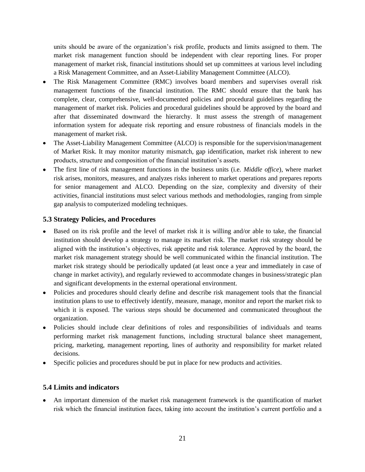units should be aware of the organization's risk profile, products and limits assigned to them. The market risk management function should be independent with clear reporting lines. For proper management of market risk, financial institutions should set up committees at various level including a Risk Management Committee, and an Asset-Liability Management Committee (ALCO).

- The Risk Management Committee (RMC) involves board members and supervises overall risk management functions of the financial institution. The RMC should ensure that the bank has complete, clear, comprehensive, well-documented policies and procedural guidelines regarding the management of market risk. Policies and procedural guidelines should be approved by the board and after that disseminated downward the hierarchy. It must assess the strength of management information system for adequate risk reporting and ensure robustness of financials models in the management of market risk.
- The Asset-Liability Management Committee (ALCO) is responsible for the supervision/management of Market Risk. It may monitor maturity mismatch, gap identification, market risk inherent to new products, structure and composition of the financial institution's assets.
- The first line of risk management functions in the business units (i.e. *Middle office*), where market risk arises, monitors, measures, and analyzes risks inherent to market operations and prepares reports for senior management and ALCO. Depending on the size, complexity and diversity of their activities, financial institutions must select various methods and methodologies, ranging from simple gap analysis to computerized modeling techniques.

## <span id="page-23-0"></span>**5.3 Strategy Policies, and Procedures**

- Based on its risk profile and the level of market risk it is willing and/or able to take, the financial institution should develop a strategy to manage its market risk. The market risk strategy should be aligned with the institution's objectives, risk appetite and risk tolerance. Approved by the board, the market risk management strategy should be well communicated within the financial institution. The market risk strategy should be periodically updated (at least once a year and immediately in case of change in market activity), and regularly reviewed to accommodate changes in business/strategic plan and significant developments in the external operational environment.
- Policies and procedures should clearly define and describe risk management tools that the financial institution plans to use to effectively identify, measure, manage, monitor and report the market risk to which it is exposed. The various steps should be documented and communicated throughout the organization.
- Policies should include clear definitions of roles and responsibilities of individuals and teams performing market risk management functions, including structural balance sheet management, pricing, marketing, management reporting, lines of authority and responsibility for market related decisions.
- Specific policies and procedures should be put in place for new products and activities.

## <span id="page-23-1"></span>**5.4 Limits and indicators**

An important dimension of the market risk management framework is the quantification of market risk which the financial institution faces, taking into account the institution's current portfolio and a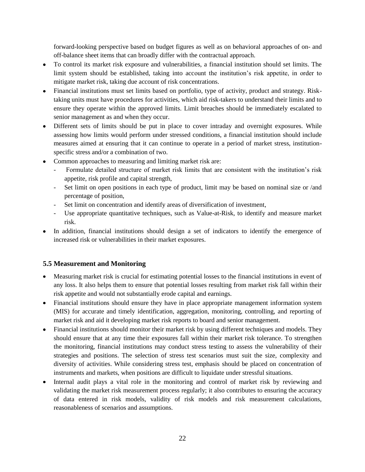forward-looking perspective based on budget figures as well as on behavioral approaches of on- and off-balance sheet items that can broadly differ with the contractual approach.

- To control its market risk exposure and vulnerabilities, a financial institution should set limits. The limit system should be established, taking into account the institution's risk appetite, in order to mitigate market risk, taking due account of risk concentrations.
- Financial institutions must set limits based on portfolio, type of activity, product and strategy. Risktaking units must have procedures for activities, which aid risk-takers to understand their limits and to ensure they operate within the approved limits. Limit breaches should be immediately escalated to senior management as and when they occur.
- Different sets of limits should be put in place to cover intraday and overnight exposures. While assessing how limits would perform under stressed conditions, a financial institution should include measures aimed at ensuring that it can continue to operate in a period of market stress, institutionspecific stress and/or a combination of two.
- Common approaches to measuring and limiting market risk are:
	- Formulate detailed structure of market risk limits that are consistent with the institution's risk appetite, risk profile and capital strength,
	- Set limit on open positions in each type of product, limit may be based on nominal size or /and percentage of position,
	- Set limit on concentration and identify areas of diversification of investment,
	- Use appropriate quantitative techniques, such as Value-at-Risk, to identify and measure market risk.
- In addition, financial institutions should design a set of indicators to identify the emergence of increased risk or vulnerabilities in their market exposures.

## <span id="page-24-0"></span>**5.5 Measurement and Monitoring**

- Measuring market risk is crucial for estimating potential losses to the financial institutions in event of any loss. It also helps them to ensure that potential losses resulting from market risk fall within their risk appetite and would not substantially erode capital and earnings.
- Financial institutions should ensure they have in place appropriate management information system (MIS) for accurate and timely identification, aggregation, monitoring, controlling, and reporting of market risk and aid it developing market risk reports to board and senior management.
- Financial institutions should monitor their market risk by using different techniques and models. They should ensure that at any time their exposures fall within their market risk tolerance. To strengthen the monitoring, financial institutions may conduct stress testing to assess the vulnerability of their strategies and positions. The selection of stress test scenarios must suit the size, complexity and diversity of activities. While considering stress test, emphasis should be placed on concentration of instruments and markets, when positions are difficult to liquidate under stressful situations.
- Internal audit plays a vital role in the monitoring and control of market risk by reviewing and  $\bullet$ validating the market risk measurement process regularly; it also contributes to ensuring the accuracy of data entered in risk models, validity of risk models and risk measurement calculations, reasonableness of scenarios and assumptions.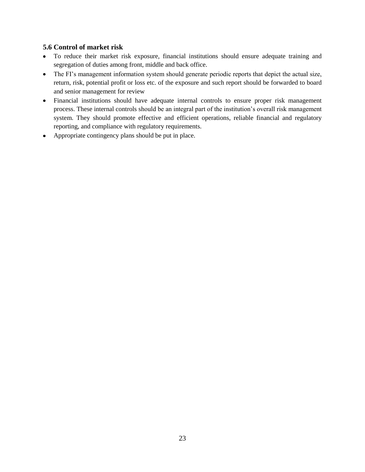#### <span id="page-25-0"></span>**5.6 Control of market risk**

- To reduce their market risk exposure, financial institutions should ensure adequate training and  $\bullet$ segregation of duties among front, middle and back office.
- The FI's management information system should generate periodic reports that depict the actual size,  $\bullet$ return, risk, potential profit or loss etc. of the exposure and such report should be forwarded to board and senior management for review
- Financial institutions should have adequate internal controls to ensure proper risk management  $\bullet$ process. These internal controls should be an integral part of the institution's overall risk management system. They should promote effective and efficient operations, reliable financial and regulatory reporting, and compliance with regulatory requirements.
- Appropriate contingency plans should be put in place.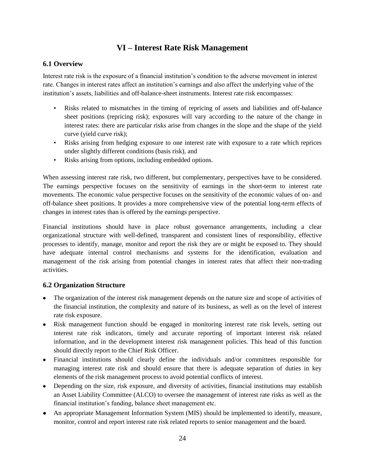# **VI – Interest Rate Risk Management**

## <span id="page-26-1"></span><span id="page-26-0"></span>**6.1 Overview**

Interest rate risk is the exposure of a financial institution's condition to the adverse movement in interest rate. Changes in interest rates affect an institution's earnings and also affect the underlying value of the institution's assets, liabilities and off-balance-sheet instruments. Interest rate risk encompasses:

- Risks related to mismatches in the timing of repricing of assets and liabilities and off-balance sheet positions (repricing risk); exposures will vary according to the nature of the change in interest rates: there are particular risks arise from changes in the slope and the shape of the yield curve (yield curve risk);
- Risks arising from hedging exposure to one interest rate with exposure to a rate which reprices under slightly different conditions (basis risk), and
- Risks arising from options, including embedded options.

When assessing interest rate risk, two different, but complementary, perspectives have to be considered. The earnings perspective focuses on the sensitivity of earnings in the short-term to interest rate movements. The economic value perspective focuses on the sensitivity of the economic values of on- and off-balance sheet positions. It provides a more comprehensive view of the potential long-term effects of changes in interest rates than is offered by the earnings perspective.

Financial institutions should have in place robust governance arrangements, including a clear organizational structure with well-defined, transparent and consistent lines of responsibility, effective processes to identify, manage, monitor and report the risk they are or might be exposed to. They should have adequate internal control mechanisms and systems for the identification, evaluation and management of the risk arising from potential changes in interest rates that affect their non-trading activities.

## <span id="page-26-2"></span>**6.2 Organization Structure**

- The organization of the interest risk management depends on the nature size and scope of activities of the financial institution, the complexity and nature of its business, as well as on the level of interest rate risk exposure.
- Risk management function should be engaged in monitoring interest rate risk levels, setting out interest rate risk indicators, timely and accurate reporting of important interest risk related information, and in the development interest risk management policies. This head of this function should directly report to the Chief Risk Officer.
- Financial institutions should clearly define the individuals and/or committees responsible for managing interest rate risk and should ensure that there is adequate separation of duties in key elements of the risk management process to avoid potential conflicts of interest.
- Depending on the size, risk exposure, and diversity of activities, financial institutions may establish an Asset Liability Committee (ALCO) to oversee the management of interest rate risks as well as the financial institution's funding, balance sheet management etc.
- An appropriate Management Information System (MIS) should be implemented to identify, measure, monitor, control and report interest rate risk related reports to senior management and the board.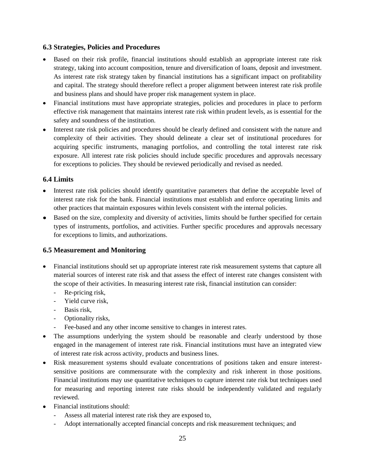#### <span id="page-27-0"></span>**6.3 Strategies, Policies and Procedures**

- Based on their risk profile, financial institutions should establish an appropriate interest rate risk strategy, taking into account composition, tenure and diversification of loans, deposit and investment. As interest rate risk strategy taken by financial institutions has a significant impact on profitability and capital. The strategy should therefore reflect a proper alignment between interest rate risk profile and business plans and should have proper risk management system in place.
- Financial institutions must have appropriate strategies, policies and procedures in place to perform effective risk management that maintains interest rate risk within prudent levels, as is essential for the safety and soundness of the institution.
- Interest rate risk policies and procedures should be clearly defined and consistent with the nature and complexity of their activities. They should delineate a clear set of institutional procedures for acquiring specific instruments, managing portfolios, and controlling the total interest rate risk exposure. All interest rate risk policies should include specific procedures and approvals necessary for exceptions to policies. They should be reviewed periodically and revised as needed.

#### <span id="page-27-1"></span>**6.4 Limits**

- Interest rate risk policies should identify quantitative parameters that define the acceptable level of interest rate risk for the bank. Financial institutions must establish and enforce operating limits and other practices that maintain exposures within levels consistent with the internal policies.
- Based on the size, complexity and diversity of activities, limits should be further specified for certain types of instruments, portfolios, and activities. Further specific procedures and approvals necessary for exceptions to limits, and authorizations.

## <span id="page-27-2"></span>**6.5 Measurement and Monitoring**

- Financial institutions should set up appropriate interest rate risk measurement systems that capture all material sources of interest rate risk and that assess the effect of interest rate changes consistent with the scope of their activities. In measuring interest rate risk, financial institution can consider:
	- Re-pricing risk,
	- Yield curve risk,
	- Basis risk,
	- Optionality risks,
	- Fee-based and any other income sensitive to changes in interest rates.
- The assumptions underlying the system should be reasonable and clearly understood by those engaged in the management of interest rate risk. Financial institutions must have an integrated view of interest rate risk across activity, products and business lines.
- Risk measurement systems should evaluate concentrations of positions taken and ensure interestsensitive positions are commensurate with the complexity and risk inherent in those positions. Financial institutions may use quantitative techniques to capture interest rate risk but techniques used for measuring and reporting interest rate risks should be independently validated and regularly reviewed.
- Financial institutions should:  $\bullet$ 
	- Assess all material interest rate risk they are exposed to,
	- Adopt internationally accepted financial concepts and risk measurement techniques; and